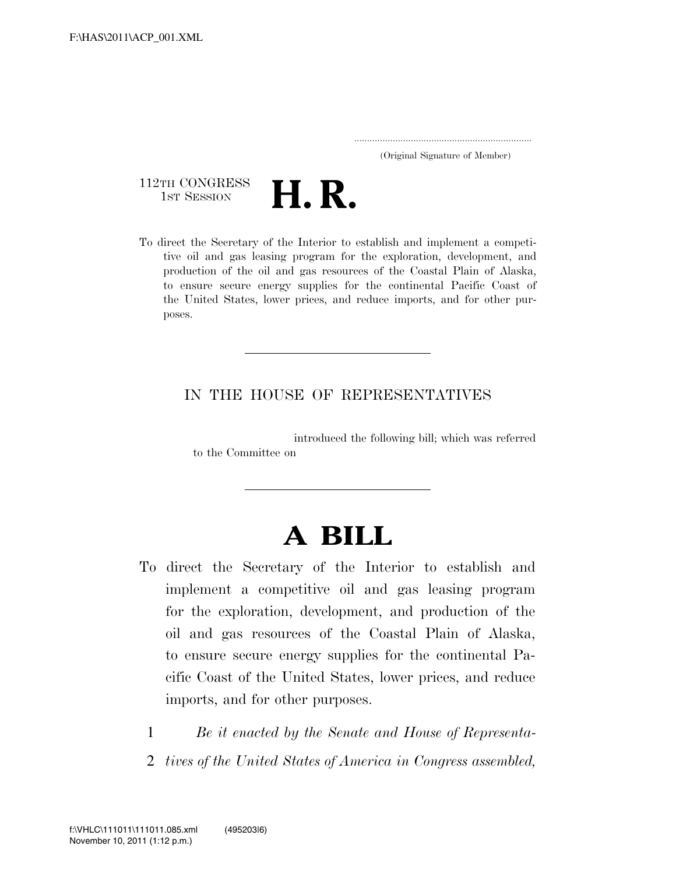..................................................................... (Original Signature of Member)

112TH CONGRESS<br>1st Session



To direct the Secretary of the Interior to establish and implement a competitive oil and gas leasing program for the exploration, development, and production of the oil and gas resources of the Coastal Plain of Alaska, to ensure secure energy supplies for the continental Pacific Coast of the United States, lower prices, and reduce imports, and for other purposes.

# IN THE HOUSE OF REPRESENTATIVES

introduced the following bill; which was referred to the Committee on

# **A BILL**

- To direct the Secretary of the Interior to establish and implement a competitive oil and gas leasing program for the exploration, development, and production of the oil and gas resources of the Coastal Plain of Alaska, to ensure secure energy supplies for the continental Pacific Coast of the United States, lower prices, and reduce imports, and for other purposes.
	- 1 *Be it enacted by the Senate and House of Representa-*
	- 2 *tives of the United States of America in Congress assembled,*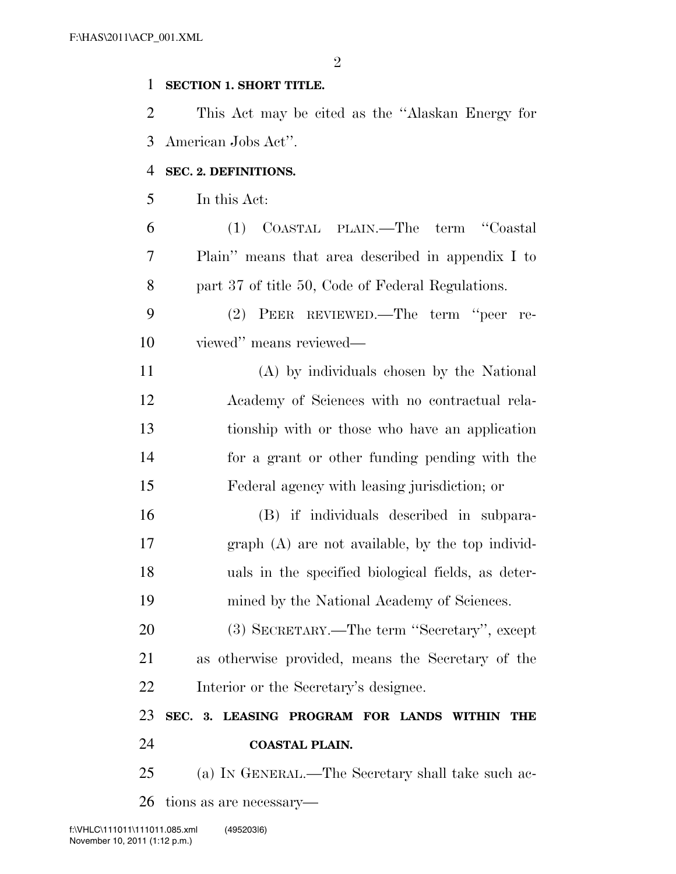# **SECTION 1. SHORT TITLE.**

 This Act may be cited as the ''Alaskan Energy for American Jobs Act''.

# **SEC. 2. DEFINITIONS.**

In this Act:

 (1) COASTAL PLAIN.—The term ''Coastal Plain'' means that area described in appendix I to part 37 of title 50, Code of Federal Regulations.

 (2) PEER REVIEWED.—The term ''peer re-viewed'' means reviewed—

 (A) by individuals chosen by the National Academy of Sciences with no contractual rela- tionship with or those who have an application for a grant or other funding pending with the Federal agency with leasing jurisdiction; or

 (B) if individuals described in subpara- graph (A) are not available, by the top individ- uals in the specified biological fields, as deter-mined by the National Academy of Sciences.

 (3) SECRETARY.—The term ''Secretary'', except as otherwise provided, means the Secretary of the Interior or the Secretary's designee.

# **SEC. 3. LEASING PROGRAM FOR LANDS WITHIN THE**

**COASTAL PLAIN.** 

(a) IN GENERAL.—The Secretary shall take such ac-

tions as are necessary—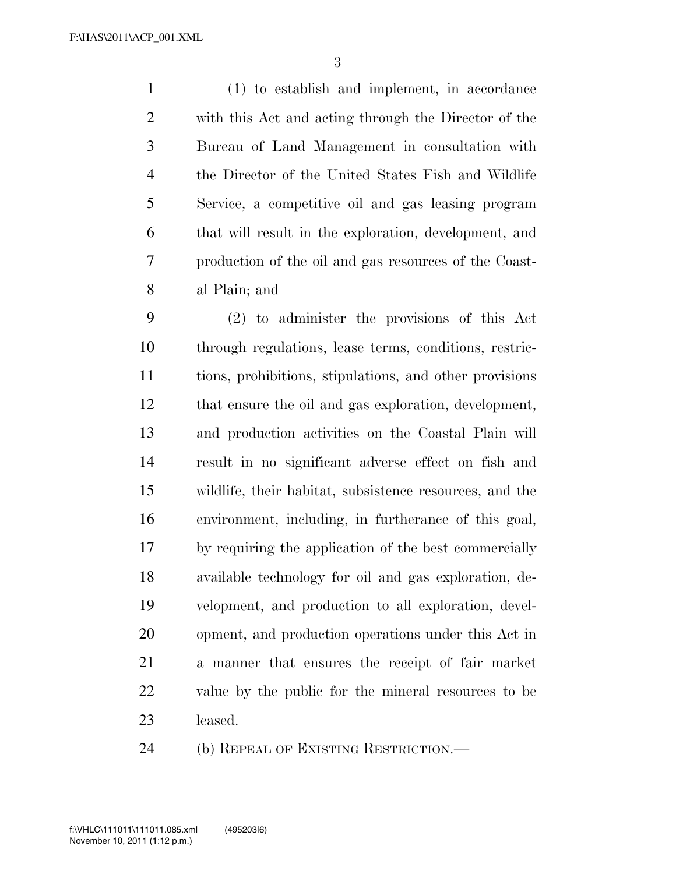(1) to establish and implement, in accordance with this Act and acting through the Director of the Bureau of Land Management in consultation with the Director of the United States Fish and Wildlife Service, a competitive oil and gas leasing program that will result in the exploration, development, and production of the oil and gas resources of the Coast-al Plain; and

 (2) to administer the provisions of this Act through regulations, lease terms, conditions, restric- tions, prohibitions, stipulations, and other provisions that ensure the oil and gas exploration, development, and production activities on the Coastal Plain will result in no significant adverse effect on fish and wildlife, their habitat, subsistence resources, and the environment, including, in furtherance of this goal, by requiring the application of the best commercially available technology for oil and gas exploration, de- velopment, and production to all exploration, devel- opment, and production operations under this Act in a manner that ensures the receipt of fair market value by the public for the mineral resources to be leased.

(b) REPEAL OF EXISTING RESTRICTION.—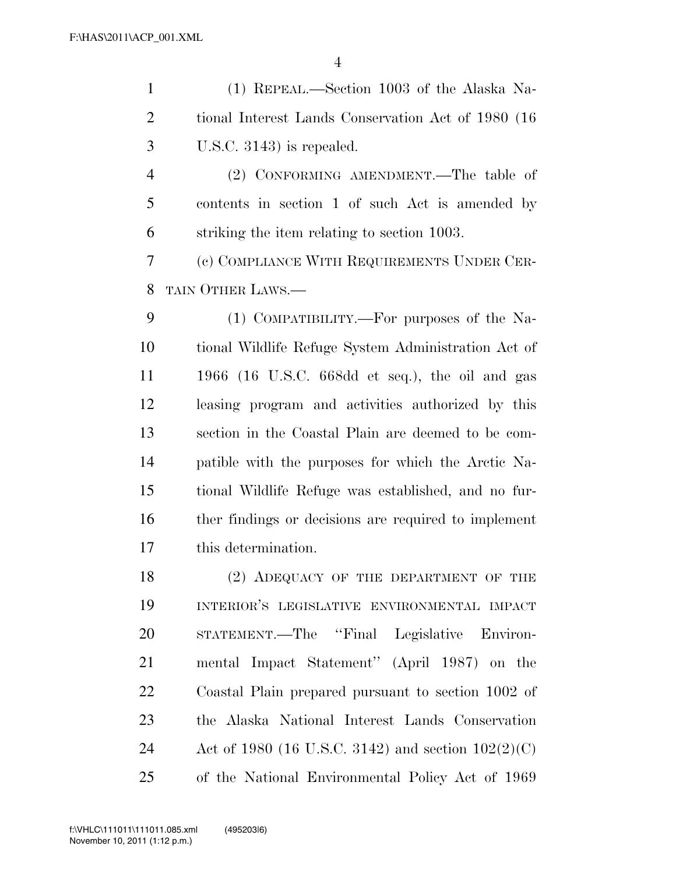(1) REPEAL.—Section 1003 of the Alaska Na- tional Interest Lands Conservation Act of 1980 (16 U.S.C. 3143) is repealed.

 (2) CONFORMING AMENDMENT.—The table of contents in section 1 of such Act is amended by striking the item relating to section 1003.

 (c) COMPLIANCE WITH REQUIREMENTS UNDER CER-TAIN OTHER LAWS.—

 (1) COMPATIBILITY.—For purposes of the Na- tional Wildlife Refuge System Administration Act of 1966 (16 U.S.C. 668dd et seq.), the oil and gas leasing program and activities authorized by this section in the Coastal Plain are deemed to be com- patible with the purposes for which the Arctic Na- tional Wildlife Refuge was established, and no fur- ther findings or decisions are required to implement this determination.

18 (2) ADEQUACY OF THE DEPARTMENT OF THE INTERIOR'S LEGISLATIVE ENVIRONMENTAL IMPACT STATEMENT.—The ''Final Legislative Environ- mental Impact Statement'' (April 1987) on the Coastal Plain prepared pursuant to section 1002 of the Alaska National Interest Lands Conservation Act of 1980 (16 U.S.C. 3142) and section 102(2)(C) of the National Environmental Policy Act of 1969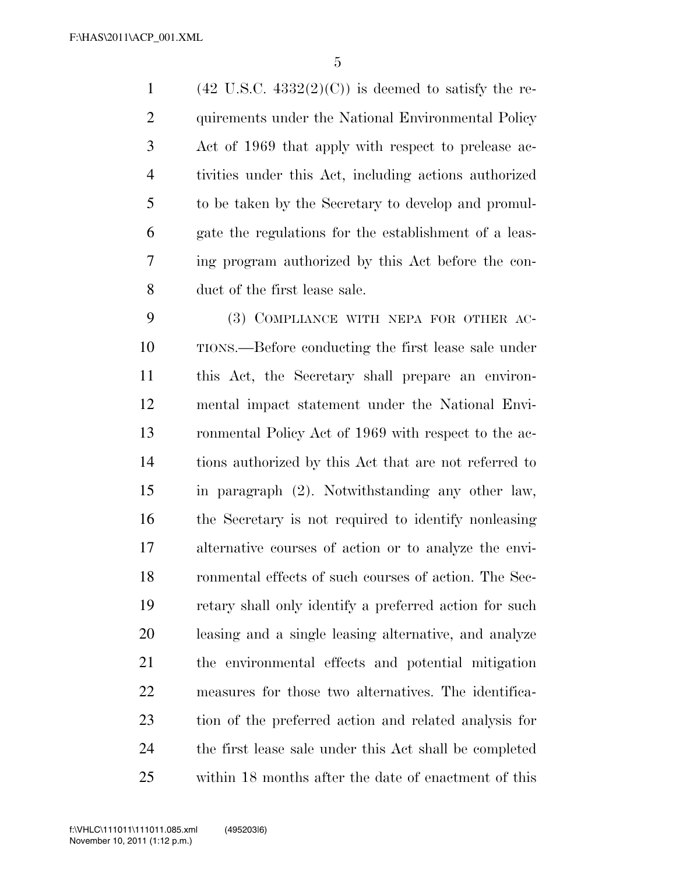1 (42 U.S.C.  $4332(2)(C)$ ) is deemed to satisfy the re-2 quirements under the National Environmental Policy Act of 1969 that apply with respect to prelease ac- tivities under this Act, including actions authorized to be taken by the Secretary to develop and promul- gate the regulations for the establishment of a leas- ing program authorized by this Act before the con-duct of the first lease sale.

 (3) COMPLIANCE WITH NEPA FOR OTHER AC- TIONS.—Before conducting the first lease sale under this Act, the Secretary shall prepare an environ- mental impact statement under the National Envi- ronmental Policy Act of 1969 with respect to the ac- tions authorized by this Act that are not referred to in paragraph (2). Notwithstanding any other law, the Secretary is not required to identify nonleasing alternative courses of action or to analyze the envi- ronmental effects of such courses of action. The Sec- retary shall only identify a preferred action for such leasing and a single leasing alternative, and analyze the environmental effects and potential mitigation measures for those two alternatives. The identifica- tion of the preferred action and related analysis for the first lease sale under this Act shall be completed within 18 months after the date of enactment of this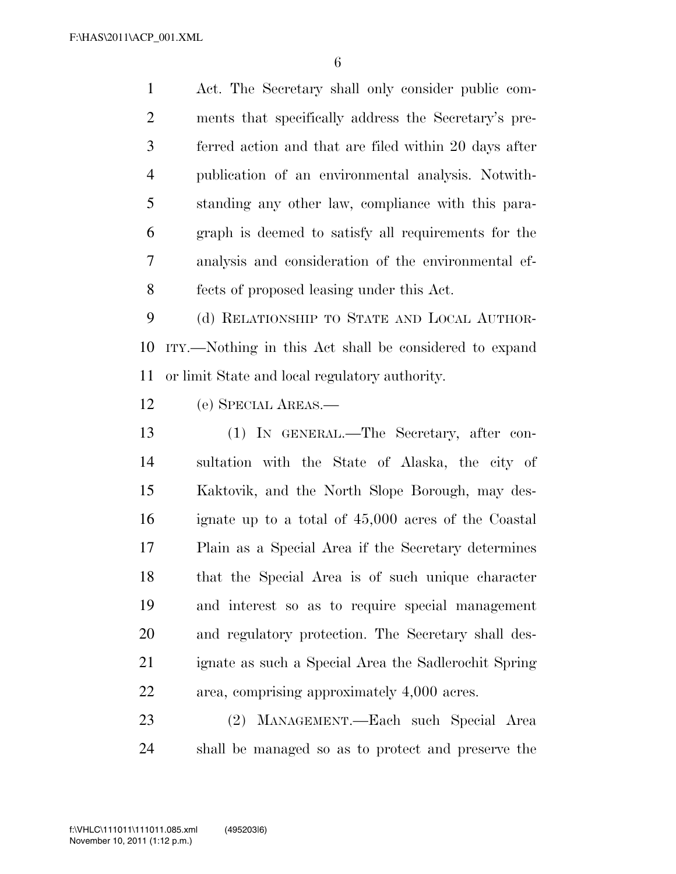Act. The Secretary shall only consider public com- ments that specifically address the Secretary's pre- ferred action and that are filed within 20 days after publication of an environmental analysis. Notwith- standing any other law, compliance with this para- graph is deemed to satisfy all requirements for the analysis and consideration of the environmental ef-fects of proposed leasing under this Act.

 (d) RELATIONSHIP TO STATE AND LOCAL AUTHOR- ITY.—Nothing in this Act shall be considered to expand or limit State and local regulatory authority.

(e) SPECIAL AREAS.—

 (1) IN GENERAL.—The Secretary, after con- sultation with the State of Alaska, the city of Kaktovik, and the North Slope Borough, may des- ignate up to a total of 45,000 acres of the Coastal Plain as a Special Area if the Secretary determines that the Special Area is of such unique character and interest so as to require special management and regulatory protection. The Secretary shall des- ignate as such a Special Area the Sadlerochit Spring area, comprising approximately 4,000 acres.

 (2) MANAGEMENT.—Each such Special Area shall be managed so as to protect and preserve the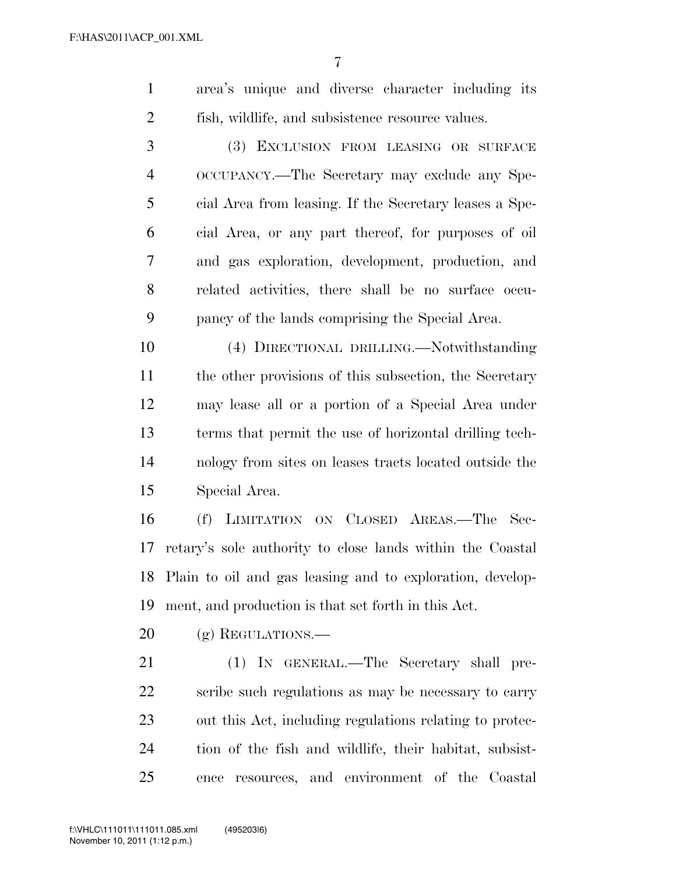|  |  | area's unique and diverse character including its |  |
|--|--|---------------------------------------------------|--|
|  |  | fish, wildlife, and subsistence resource values.  |  |

 (3) EXCLUSION FROM LEASING OR SURFACE OCCUPANCY.—The Secretary may exclude any Spe- cial Area from leasing. If the Secretary leases a Spe- cial Area, or any part thereof, for purposes of oil and gas exploration, development, production, and related activities, there shall be no surface occu-pancy of the lands comprising the Special Area.

 (4) DIRECTIONAL DRILLING.—Notwithstanding 11 the other provisions of this subsection, the Secretary may lease all or a portion of a Special Area under terms that permit the use of horizontal drilling tech- nology from sites on leases tracts located outside the Special Area.

 (f) LIMITATION ON CLOSED AREAS.—The Sec- retary's sole authority to close lands within the Coastal Plain to oil and gas leasing and to exploration, develop-ment, and production is that set forth in this Act.

20 (g) REGULATIONS.—

21 (1) IN GENERAL.—The Secretary shall pre- scribe such regulations as may be necessary to carry out this Act, including regulations relating to protec- tion of the fish and wildlife, their habitat, subsist-ence resources, and environment of the Coastal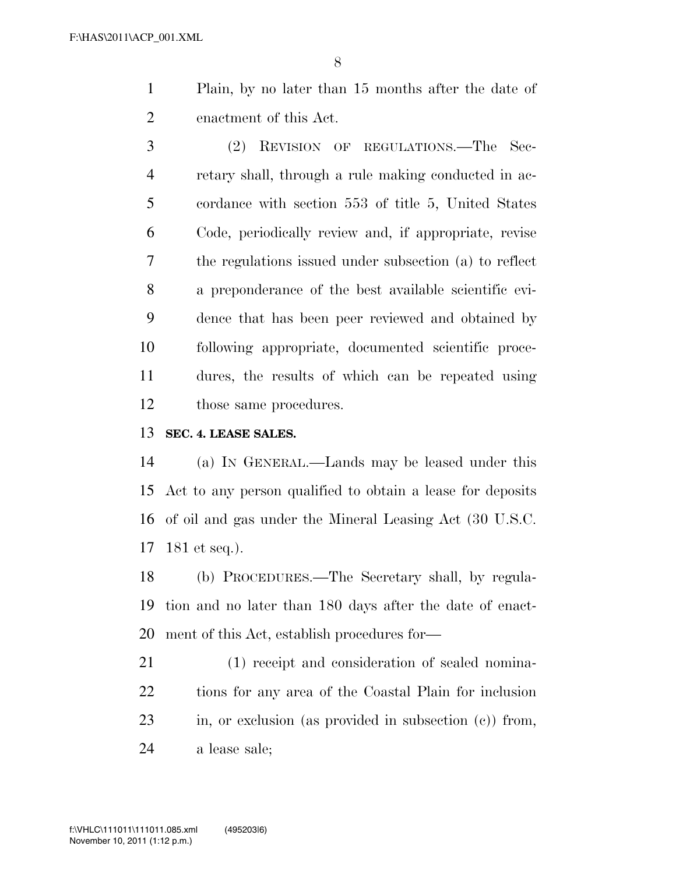Plain, by no later than 15 months after the date of enactment of this Act.

 (2) REVISION OF REGULATIONS.—The Sec- retary shall, through a rule making conducted in ac- cordance with section 553 of title 5, United States Code, periodically review and, if appropriate, revise the regulations issued under subsection (a) to reflect a preponderance of the best available scientific evi- dence that has been peer reviewed and obtained by following appropriate, documented scientific proce- dures, the results of which can be repeated using those same procedures.

**SEC. 4. LEASE SALES.** 

 (a) IN GENERAL.—Lands may be leased under this Act to any person qualified to obtain a lease for deposits of oil and gas under the Mineral Leasing Act (30 U.S.C. 181 et seq.).

 (b) PROCEDURES.—The Secretary shall, by regula- tion and no later than 180 days after the date of enact-ment of this Act, establish procedures for—

 (1) receipt and consideration of sealed nomina- tions for any area of the Coastal Plain for inclusion in, or exclusion (as provided in subsection (c)) from, a lease sale;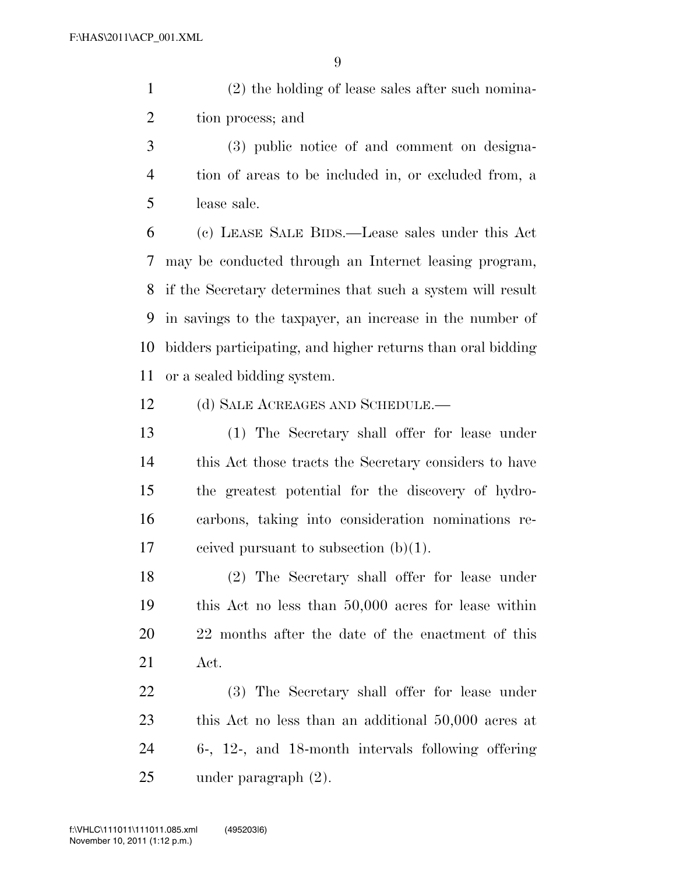(2) the holding of lease sales after such nomina-tion process; and

 (3) public notice of and comment on designa- tion of areas to be included in, or excluded from, a lease sale.

 (c) LEASE SALE BIDS.—Lease sales under this Act may be conducted through an Internet leasing program, if the Secretary determines that such a system will result in savings to the taxpayer, an increase in the number of bidders participating, and higher returns than oral bidding or a sealed bidding system.

12 (d) SALE ACREAGES AND SCHEDULE.—

 (1) The Secretary shall offer for lease under this Act those tracts the Secretary considers to have the greatest potential for the discovery of hydro- carbons, taking into consideration nominations re-17 ceived pursuant to subsection  $(b)(1)$ .

 (2) The Secretary shall offer for lease under this Act no less than 50,000 acres for lease within 22 months after the date of the enactment of this Act.

 (3) The Secretary shall offer for lease under this Act no less than an additional 50,000 acres at 6-, 12-, and 18-month intervals following offering under paragraph (2).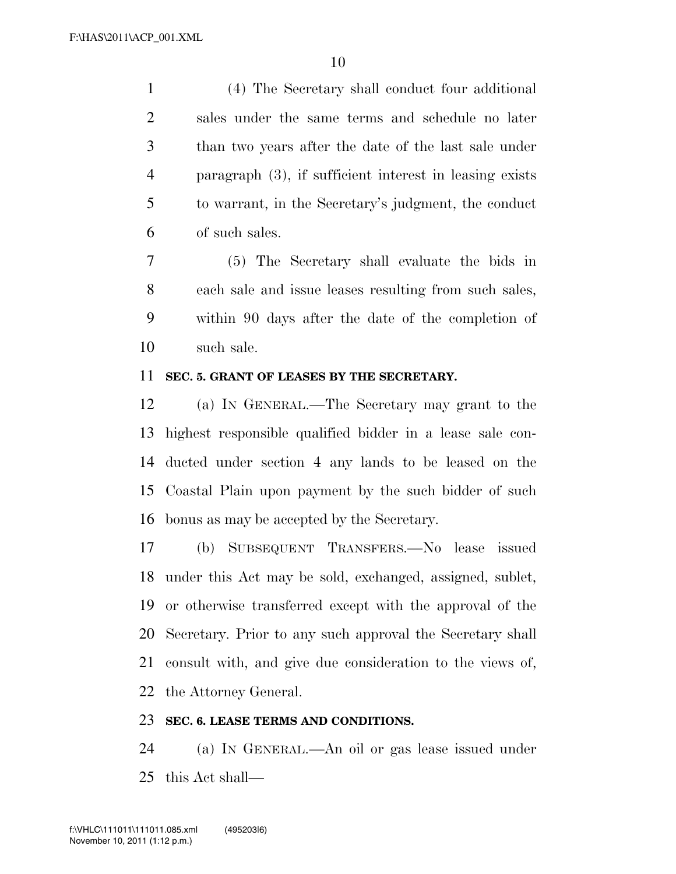(4) The Secretary shall conduct four additional sales under the same terms and schedule no later than two years after the date of the last sale under paragraph (3), if sufficient interest in leasing exists to warrant, in the Secretary's judgment, the conduct of such sales.

 (5) The Secretary shall evaluate the bids in each sale and issue leases resulting from such sales, within 90 days after the date of the completion of such sale.

# **SEC. 5. GRANT OF LEASES BY THE SECRETARY.**

 (a) IN GENERAL.—The Secretary may grant to the highest responsible qualified bidder in a lease sale con- ducted under section 4 any lands to be leased on the Coastal Plain upon payment by the such bidder of such bonus as may be accepted by the Secretary.

 (b) SUBSEQUENT TRANSFERS.—No lease issued under this Act may be sold, exchanged, assigned, sublet, or otherwise transferred except with the approval of the Secretary. Prior to any such approval the Secretary shall consult with, and give due consideration to the views of, the Attorney General.

#### **SEC. 6. LEASE TERMS AND CONDITIONS.**

 (a) IN GENERAL.—An oil or gas lease issued under this Act shall—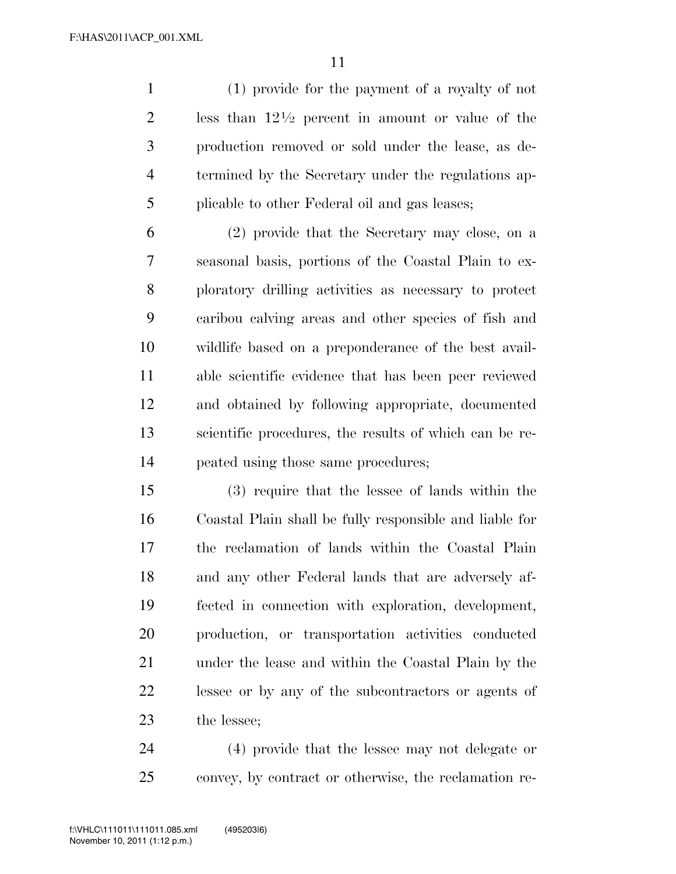(1) provide for the payment of a royalty of not 2 less than  $12\frac{1}{2}$  percent in amount or value of the production removed or sold under the lease, as de- termined by the Secretary under the regulations ap-plicable to other Federal oil and gas leases;

 (2) provide that the Secretary may close, on a seasonal basis, portions of the Coastal Plain to ex- ploratory drilling activities as necessary to protect caribou calving areas and other species of fish and wildlife based on a preponderance of the best avail- able scientific evidence that has been peer reviewed and obtained by following appropriate, documented scientific procedures, the results of which can be re-peated using those same procedures;

 (3) require that the lessee of lands within the Coastal Plain shall be fully responsible and liable for the reclamation of lands within the Coastal Plain and any other Federal lands that are adversely af- fected in connection with exploration, development, production, or transportation activities conducted under the lease and within the Coastal Plain by the lessee or by any of the subcontractors or agents of the lessee;

 (4) provide that the lessee may not delegate or convey, by contract or otherwise, the reclamation re-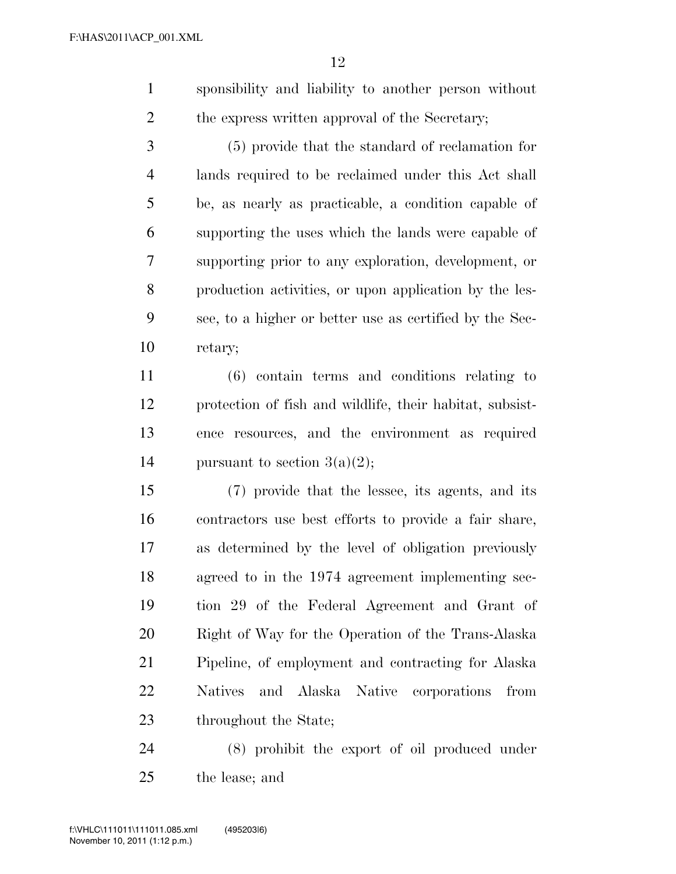sponsibility and liability to another person without 2 the express written approval of the Secretary;

 (5) provide that the standard of reclamation for lands required to be reclaimed under this Act shall be, as nearly as practicable, a condition capable of supporting the uses which the lands were capable of supporting prior to any exploration, development, or production activities, or upon application by the les- see, to a higher or better use as certified by the Sec-retary;

 (6) contain terms and conditions relating to protection of fish and wildlife, their habitat, subsist- ence resources, and the environment as required 14 pursuant to section  $3(a)(2)$ ;

 (7) provide that the lessee, its agents, and its contractors use best efforts to provide a fair share, as determined by the level of obligation previously agreed to in the 1974 agreement implementing sec- tion 29 of the Federal Agreement and Grant of Right of Way for the Operation of the Trans-Alaska Pipeline, of employment and contracting for Alaska Natives and Alaska Native corporations from 23 throughout the State;

 (8) prohibit the export of oil produced under the lease; and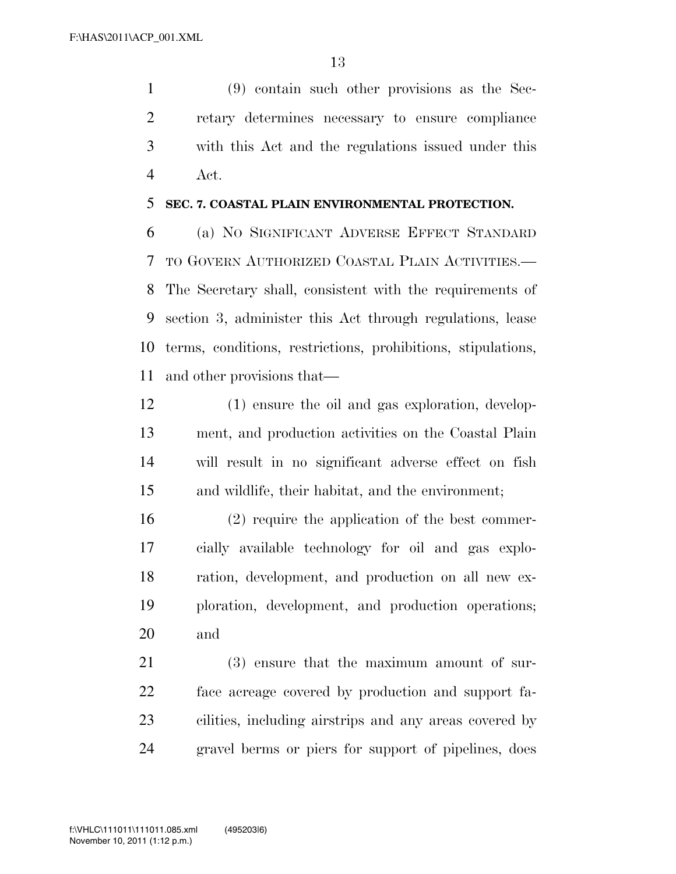(9) contain such other provisions as the Sec- retary determines necessary to ensure compliance with this Act and the regulations issued under this Act.

# **SEC. 7. COASTAL PLAIN ENVIRONMENTAL PROTECTION.**

 (a) NO SIGNIFICANT ADVERSE EFFECT STANDARD TO GOVERN AUTHORIZED COASTAL PLAIN ACTIVITIES.— The Secretary shall, consistent with the requirements of section 3, administer this Act through regulations, lease terms, conditions, restrictions, prohibitions, stipulations, and other provisions that—

 (1) ensure the oil and gas exploration, develop- ment, and production activities on the Coastal Plain will result in no significant adverse effect on fish and wildlife, their habitat, and the environment;

 (2) require the application of the best commer- cially available technology for oil and gas explo- ration, development, and production on all new ex- ploration, development, and production operations; and

 (3) ensure that the maximum amount of sur- face acreage covered by production and support fa- cilities, including airstrips and any areas covered by gravel berms or piers for support of pipelines, does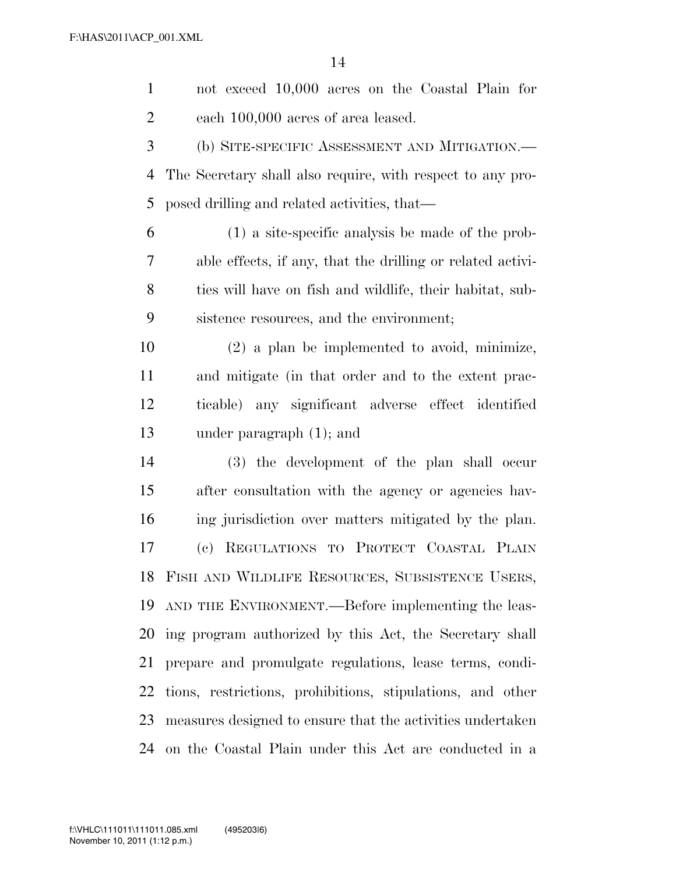not exceed 10,000 acres on the Coastal Plain for each 100,000 acres of area leased. (b) SITE-SPECIFIC ASSESSMENT AND MITIGATION.— The Secretary shall also require, with respect to any pro- posed drilling and related activities, that— (1) a site-specific analysis be made of the prob- able effects, if any, that the drilling or related activi- ties will have on fish and wildlife, their habitat, sub- sistence resources, and the environment; (2) a plan be implemented to avoid, minimize, and mitigate (in that order and to the extent prac- ticable) any significant adverse effect identified under paragraph (1); and (3) the development of the plan shall occur after consultation with the agency or agencies hav- ing jurisdiction over matters mitigated by the plan. (c) REGULATIONS TO PROTECT COASTAL PLAIN FISH AND WILDLIFE RESOURCES, SUBSISTENCE USERS, AND THE ENVIRONMENT.—Before implementing the leas- ing program authorized by this Act, the Secretary shall prepare and promulgate regulations, lease terms, condi- tions, restrictions, prohibitions, stipulations, and other measures designed to ensure that the activities undertaken on the Coastal Plain under this Act are conducted in a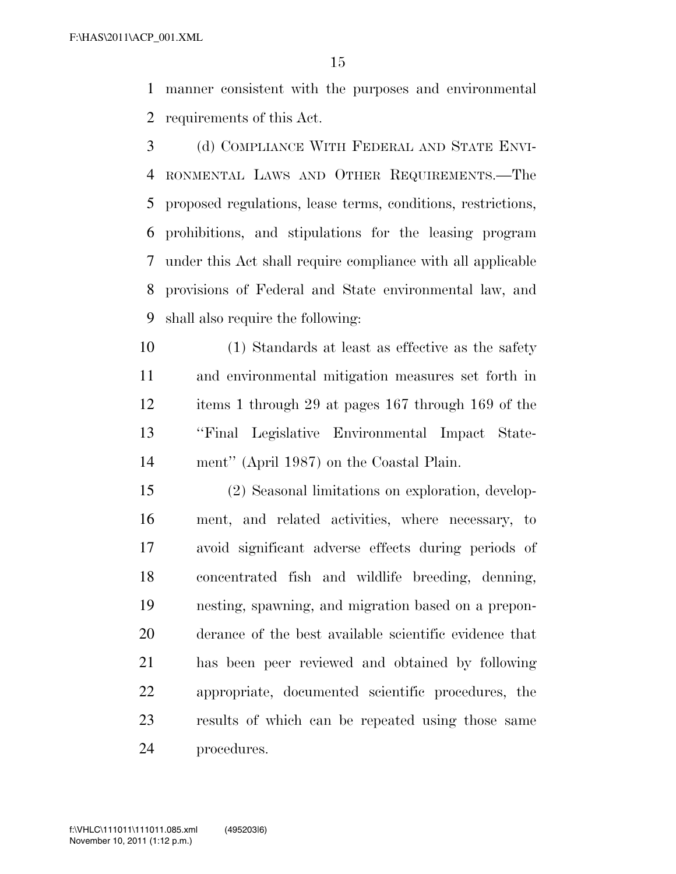manner consistent with the purposes and environmental requirements of this Act.

 (d) COMPLIANCE WITH FEDERAL AND STATE ENVI- RONMENTAL LAWS AND OTHER REQUIREMENTS.—The proposed regulations, lease terms, conditions, restrictions, prohibitions, and stipulations for the leasing program under this Act shall require compliance with all applicable provisions of Federal and State environmental law, and shall also require the following:

 (1) Standards at least as effective as the safety and environmental mitigation measures set forth in items 1 through 29 at pages 167 through 169 of the ''Final Legislative Environmental Impact State-ment'' (April 1987) on the Coastal Plain.

 (2) Seasonal limitations on exploration, develop- ment, and related activities, where necessary, to avoid significant adverse effects during periods of concentrated fish and wildlife breeding, denning, nesting, spawning, and migration based on a prepon- derance of the best available scientific evidence that has been peer reviewed and obtained by following appropriate, documented scientific procedures, the results of which can be repeated using those same procedures.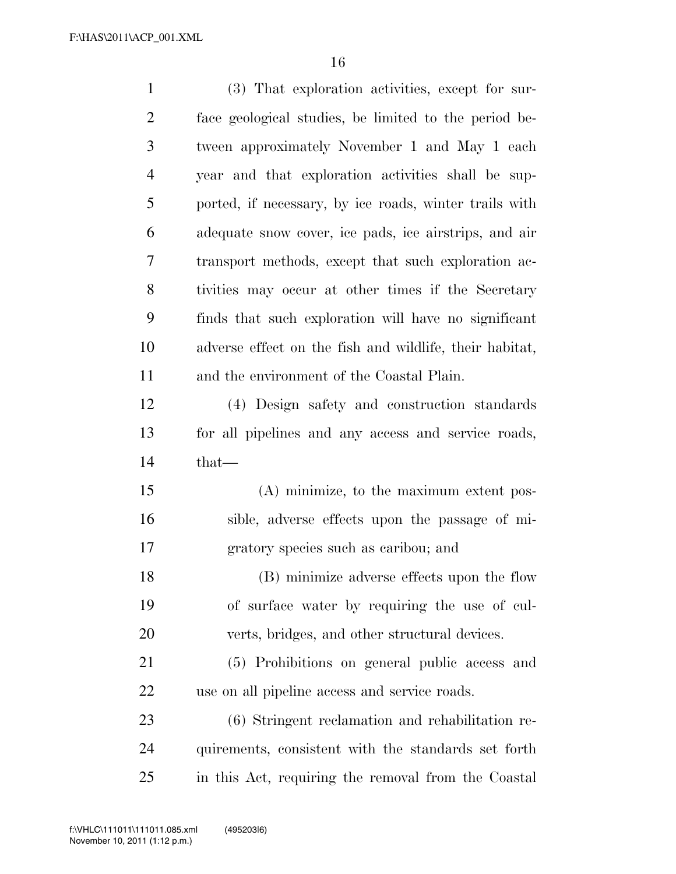| $\mathbf{1}$   | (3) That exploration activities, except for sur-        |
|----------------|---------------------------------------------------------|
| $\overline{2}$ | face geological studies, be limited to the period be-   |
| 3              | tween approximately November 1 and May 1 each           |
| $\overline{4}$ | year and that exploration activities shall be sup-      |
| 5              | ported, if necessary, by ice roads, winter trails with  |
| 6              | adequate snow cover, ice pads, ice airstrips, and air   |
| 7              | transport methods, except that such exploration ac-     |
| 8              | tivities may occur at other times if the Secretary      |
| 9              | finds that such exploration will have no significant    |
| 10             | adverse effect on the fish and wildlife, their habitat, |
| 11             | and the environment of the Coastal Plain.               |
| 12             | (4) Design safety and construction standards            |
| 13             | for all pipelines and any access and service roads,     |
| 14             | $that-$                                                 |
| 15             | (A) minimize, to the maximum extent pos-                |
| 16             | sible, adverse effects upon the passage of mi-          |
| 17             | gratory species such as caribou; and                    |
| 18             | (B) minimize adverse effects upon the flow              |
| 19             | of surface water by requiring the use of cul-           |
| 20             | verts, bridges, and other structural devices.           |
| 21             | (5) Prohibitions on general public access and           |
| 22             | use on all pipeline access and service roads.           |
| 23             | (6) Stringent reclamation and rehabilitation re-        |
| 24             | quirements, consistent with the standards set forth     |
| 25             | in this Act, requiring the removal from the Coastal     |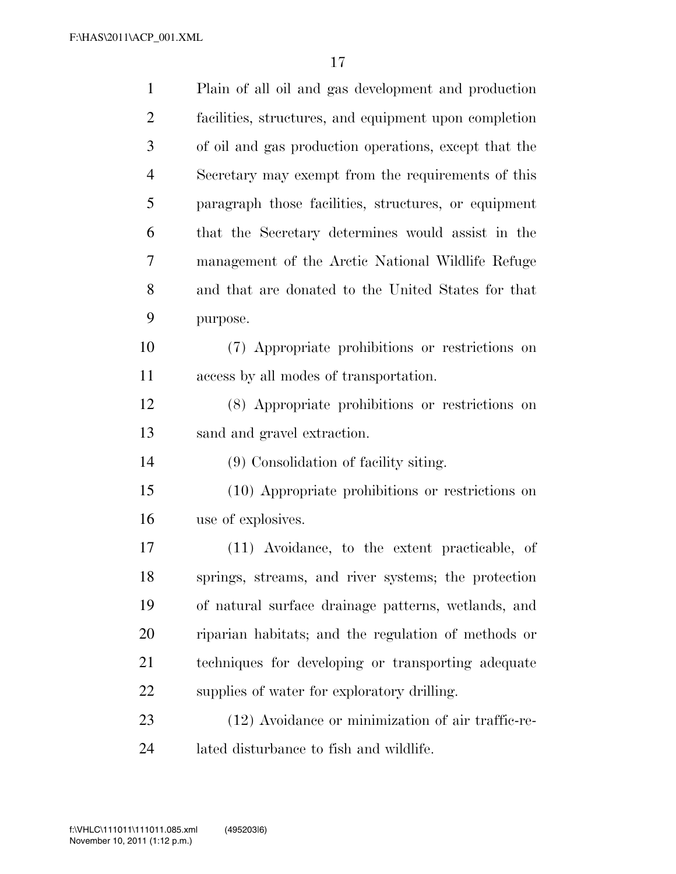| $\mathbf{1}$   | Plain of all oil and gas development and production   |
|----------------|-------------------------------------------------------|
| $\overline{2}$ | facilities, structures, and equipment upon completion |
| 3              | of oil and gas production operations, except that the |
| $\overline{4}$ | Secretary may exempt from the requirements of this    |
| 5              | paragraph those facilities, structures, or equipment  |
| 6              | that the Secretary determines would assist in the     |
| 7              | management of the Arctic National Wildlife Refuge     |
| 8              | and that are donated to the United States for that    |
| 9              | purpose.                                              |
| 10             | (7) Appropriate prohibitions or restrictions on       |
| 11             | access by all modes of transportation.                |
| 12             | (8) Appropriate prohibitions or restrictions on       |
| 13             | sand and gravel extraction.                           |
| 14             | (9) Consolidation of facility siting.                 |
| 15             | (10) Appropriate prohibitions or restrictions on      |
| 16             | use of explosives.                                    |
| 17             | (11) Avoidance, to the extent practicable, of         |
| 18             | springs, streams, and river systems; the protection   |
| 19             | of natural surface drainage patterns, wetlands, and   |
| 20             | riparian habitats; and the regulation of methods or   |
| 21             | techniques for developing or transporting adequate    |
| 22             | supplies of water for exploratory drilling.           |
| 23             | (12) Avoidance or minimization of air traffic-re-     |
| 24             | lated disturbance to fish and wildlife.               |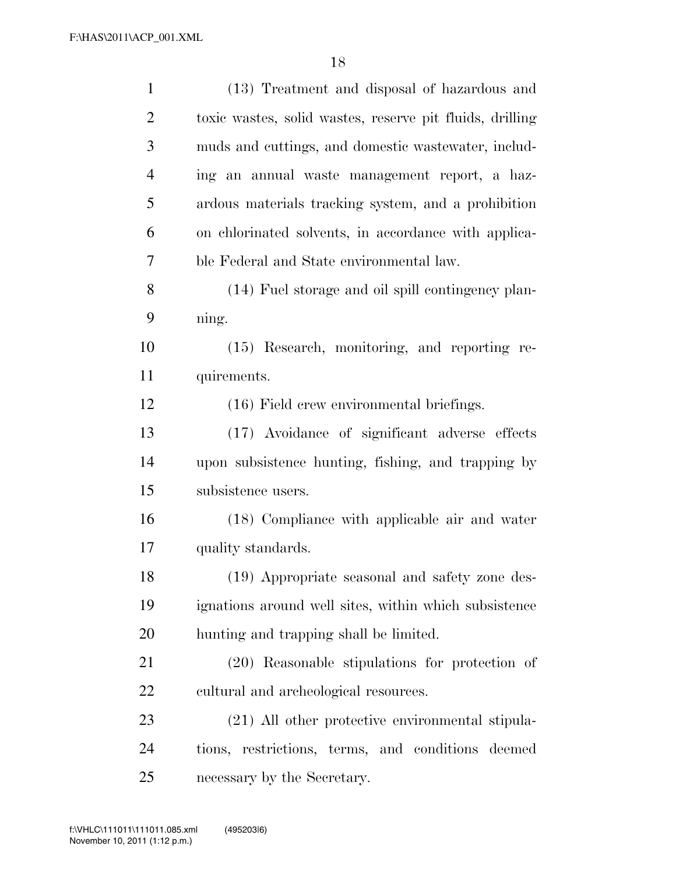| $\mathbf{1}$   | (13) Treatment and disposal of hazardous and             |
|----------------|----------------------------------------------------------|
| $\overline{2}$ | toxic wastes, solid wastes, reserve pit fluids, drilling |
| 3              | muds and cuttings, and domestic wastewater, includ-      |
| $\overline{4}$ | ing an annual waste management report, a haz-            |
| 5              | ardous materials tracking system, and a prohibition      |
| 6              | on chlorinated solvents, in accordance with applica-     |
| 7              | ble Federal and State environmental law.                 |
| 8              | (14) Fuel storage and oil spill contingency plan-        |
| 9              | ning.                                                    |
| 10             | (15) Research, monitoring, and reporting re-             |
| 11             | quirements.                                              |
| 12             | (16) Field crew environmental briefings.                 |
| 13             | (17) Avoidance of significant adverse effects            |
| 14             | upon subsistence hunting, fishing, and trapping by       |
| 15             | subsistence users.                                       |
| 16             | (18) Compliance with applicable air and water            |
| 17             | quality standards.                                       |
| 18             | (19) Appropriate seasonal and safety zone des-           |
| 19             | ignations around well sites, within which subsistence    |
| 20             | hunting and trapping shall be limited.                   |
| 21             | (20) Reasonable stipulations for protection of           |
| 22             | cultural and archeological resources.                    |
| 23             | (21) All other protective environmental stipula-         |
| 24             | tions, restrictions, terms, and conditions deemed        |
| 25             | necessary by the Secretary.                              |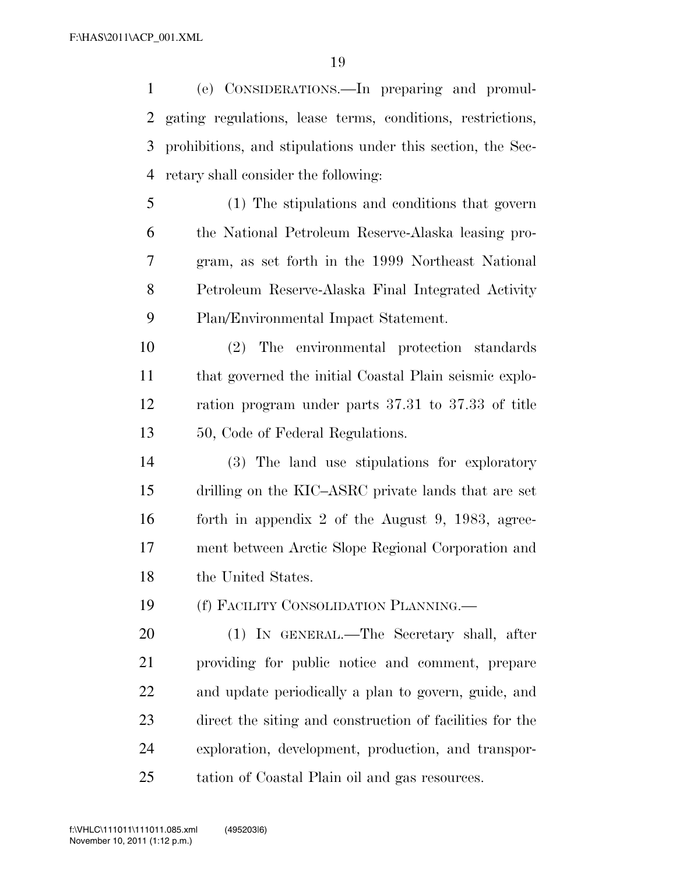(e) CONSIDERATIONS.—In preparing and promul- gating regulations, lease terms, conditions, restrictions, prohibitions, and stipulations under this section, the Sec-retary shall consider the following:

 (1) The stipulations and conditions that govern the National Petroleum Reserve-Alaska leasing pro- gram, as set forth in the 1999 Northeast National Petroleum Reserve-Alaska Final Integrated Activity Plan/Environmental Impact Statement.

 (2) The environmental protection standards that governed the initial Coastal Plain seismic explo- ration program under parts 37.31 to 37.33 of title 13 50, Code of Federal Regulations.

 (3) The land use stipulations for exploratory drilling on the KIC–ASRC private lands that are set forth in appendix 2 of the August 9, 1983, agree- ment between Arctic Slope Regional Corporation and 18 the United States.

(f) FACILITY CONSOLIDATION PLANNING.—

 (1) IN GENERAL.—The Secretary shall, after providing for public notice and comment, prepare and update periodically a plan to govern, guide, and direct the siting and construction of facilities for the exploration, development, production, and transpor-tation of Coastal Plain oil and gas resources.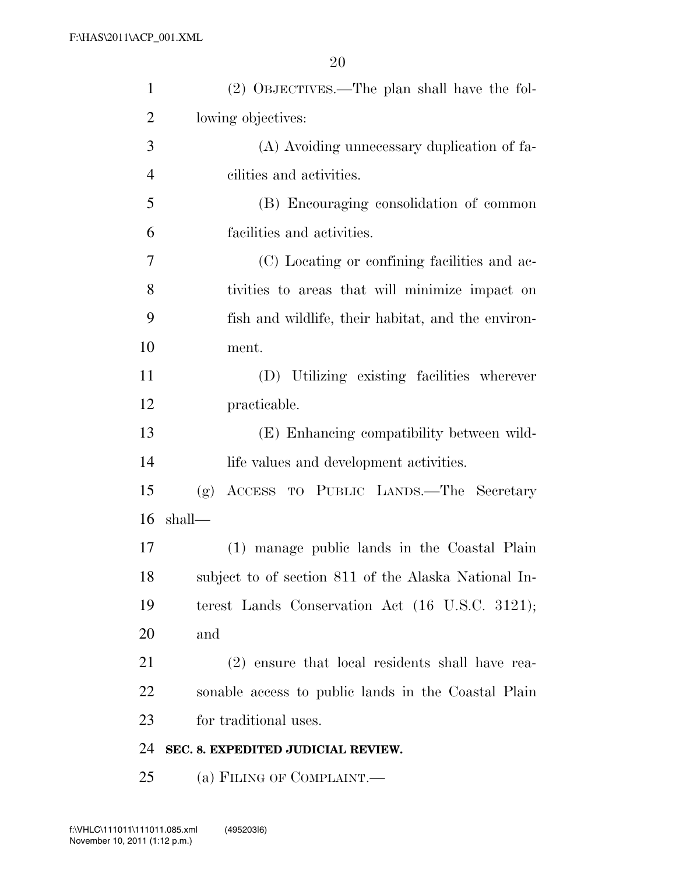| $\mathbf{1}$   | (2) OBJECTIVES.—The plan shall have the fol-         |
|----------------|------------------------------------------------------|
| $\overline{2}$ | lowing objectives:                                   |
| 3              | (A) Avoiding unnecessary duplication of fa-          |
| $\overline{4}$ | cilities and activities.                             |
| 5              | (B) Encouraging consolidation of common              |
| 6              | facilities and activities.                           |
| 7              | (C) Locating or confining facilities and ac-         |
| 8              | tivities to areas that will minimize impact on       |
| 9              | fish and wildlife, their habitat, and the environ-   |
| 10             | ment.                                                |
| 11             | (D) Utilizing existing facilities wherever           |
| 12             | practicable.                                         |
| 13             | (E) Enhancing compatibility between wild-            |
| 14             | life values and development activities.              |
| 15             | ACCESS TO PUBLIC LANDS.—The Secretary<br>(g)         |
| 16             | shall—                                               |
| 17             | (1) manage public lands in the Coastal Plain         |
| 18             | subject to of section 811 of the Alaska National In- |
| 19             | terest Lands Conservation Act (16 U.S.C. 3121);      |
| 20             | and                                                  |
| 21             | (2) ensure that local residents shall have rea-      |
| 22             | sonable access to public lands in the Coastal Plain  |
| 23             | for traditional uses.                                |
| 24             | SEC. 8. EXPEDITED JUDICIAL REVIEW.                   |
| 25             | (a) FILING OF COMPLAINT.                             |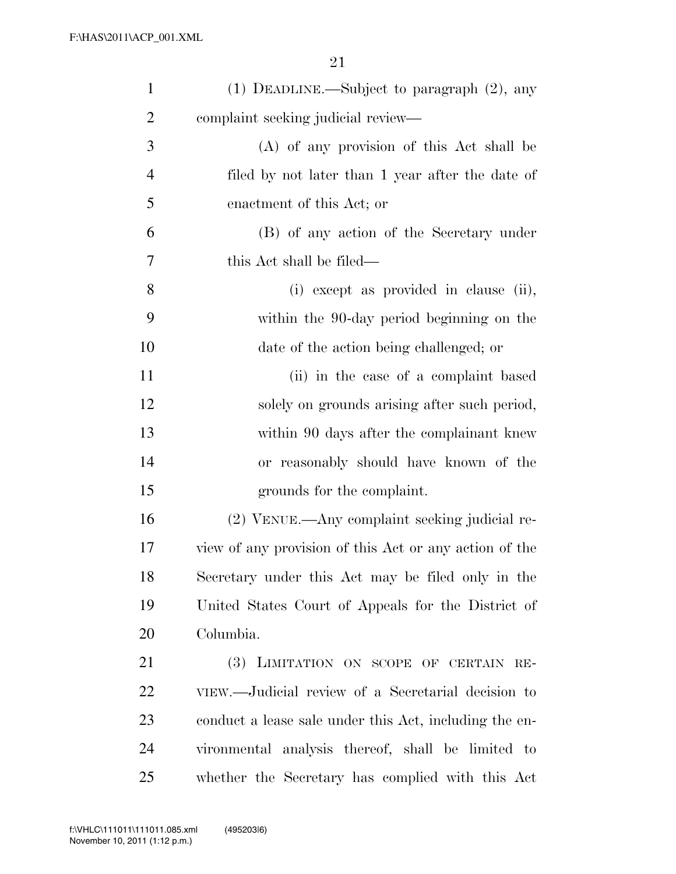| $\mathbf{1}$   | $(1)$ DEADLINE.—Subject to paragraph $(2)$ , any       |
|----------------|--------------------------------------------------------|
| $\overline{2}$ | complaint seeking judicial review—                     |
| 3              | (A) of any provision of this Act shall be              |
| $\overline{4}$ | filed by not later than 1 year after the date of       |
| 5              | enactment of this Act; or                              |
| 6              | (B) of any action of the Secretary under               |
| 7              | this Act shall be filed—                               |
| 8              | (i) except as provided in clause (ii),                 |
| 9              | within the 90-day period beginning on the              |
| 10             | date of the action being challenged; or                |
| 11             | (ii) in the case of a complaint based                  |
| 12             | solely on grounds arising after such period,           |
| 13             | within 90 days after the complainant knew              |
| 14             | or reasonably should have known of the                 |
| 15             | grounds for the complaint.                             |
| 16             | (2) VENUE.—Any complaint seeking judicial re-          |
| 17             | view of any provision of this Act or any action of the |
| 18             | Secretary under this Act may be filed only in the      |
| 19             | United States Court of Appeals for the District of     |
| 20             | Columbia.                                              |
| 21             | (3) LIMITATION ON SCOPE OF CERTAIN RE-                 |
| 22             | VIEW.—Judicial review of a Secretarial decision to     |
| 23             | conduct a lease sale under this Act, including the en- |
| 24             | vironmental analysis thereof, shall be limited to      |
| 25             | whether the Secretary has complied with this Act       |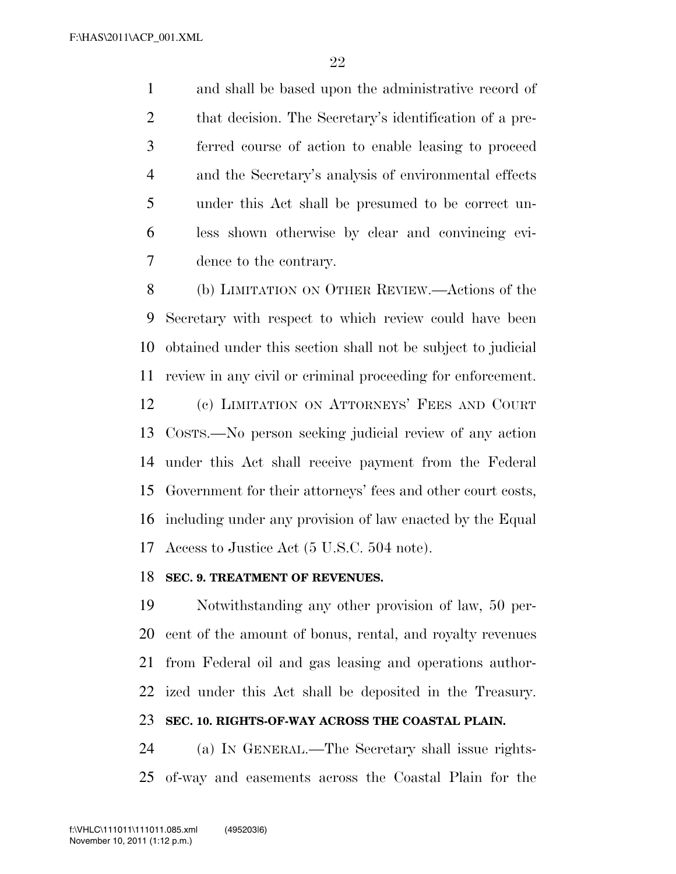and shall be based upon the administrative record of that decision. The Secretary's identification of a pre- ferred course of action to enable leasing to proceed and the Secretary's analysis of environmental effects under this Act shall be presumed to be correct un- less shown otherwise by clear and convincing evi-dence to the contrary.

 (b) LIMITATION ON OTHER REVIEW.—Actions of the Secretary with respect to which review could have been obtained under this section shall not be subject to judicial review in any civil or criminal proceeding for enforcement. (c) LIMITATION ON ATTORNEYS' FEES AND COURT COSTS.—No person seeking judicial review of any action under this Act shall receive payment from the Federal Government for their attorneys' fees and other court costs, including under any provision of law enacted by the Equal Access to Justice Act (5 U.S.C. 504 note).

## **SEC. 9. TREATMENT OF REVENUES.**

 Notwithstanding any other provision of law, 50 per- cent of the amount of bonus, rental, and royalty revenues from Federal oil and gas leasing and operations author-ized under this Act shall be deposited in the Treasury.

# **SEC. 10. RIGHTS-OF-WAY ACROSS THE COASTAL PLAIN.**

 (a) IN GENERAL.—The Secretary shall issue rights-of-way and easements across the Coastal Plain for the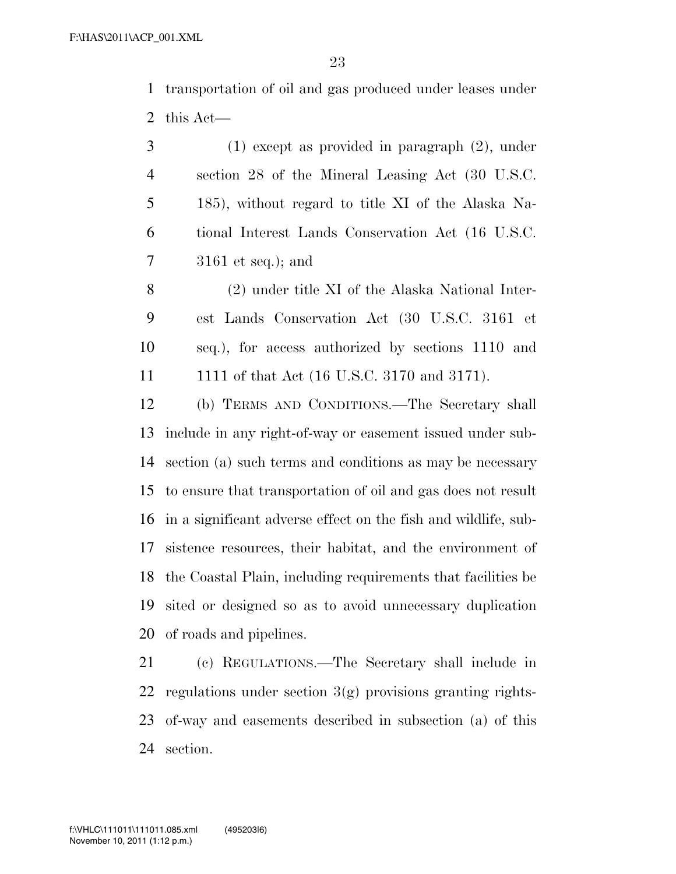transportation of oil and gas produced under leases under this Act—

 (1) except as provided in paragraph (2), under section 28 of the Mineral Leasing Act (30 U.S.C. 185), without regard to title XI of the Alaska Na- tional Interest Lands Conservation Act (16 U.S.C. 3161 et seq.); and

 (2) under title XI of the Alaska National Inter- est Lands Conservation Act (30 U.S.C. 3161 et seq.), for access authorized by sections 1110 and 1111 of that Act (16 U.S.C. 3170 and 3171).

 (b) TERMS AND CONDITIONS.—The Secretary shall include in any right-of-way or easement issued under sub- section (a) such terms and conditions as may be necessary to ensure that transportation of oil and gas does not result in a significant adverse effect on the fish and wildlife, sub- sistence resources, their habitat, and the environment of the Coastal Plain, including requirements that facilities be sited or designed so as to avoid unnecessary duplication of roads and pipelines.

 (c) REGULATIONS.—The Secretary shall include in 22 regulations under section  $3(g)$  provisions granting rights- of-way and easements described in subsection (a) of this section.